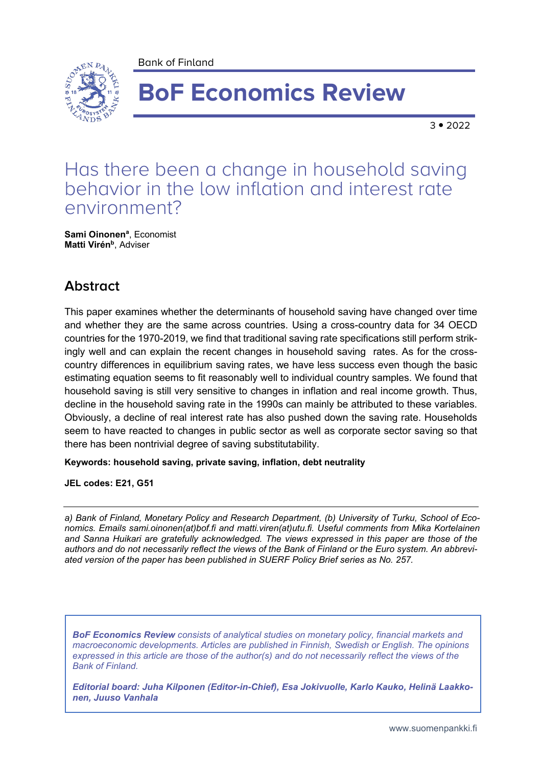Bank of Finland



# **BoF Economics Review**

 $3 \cdot 2022$ 

# Has there been a change in household saving behavior in the low inflation and interest rate environment?

**Sami Oinonen<sup>a</sup>** , Economist **Matti Virén b** , Adviser

## **Abstract**

This paper examines whether the determinants of household saving have changed over time and whether they are the same across countries. Using a cross-country data for 34 OECD countries for the 1970-2019, we find that traditional saving rate specifications still perform strikingly well and can explain the recent changes in household saving rates. As for the crosscountry differences in equilibrium saving rates, we have less success even though the basic estimating equation seems to fit reasonably well to individual country samples. We found that household saving is still very sensitive to changes in inflation and real income growth. Thus, decline in the household saving rate in the 1990s can mainly be attributed to these variables. Obviously, a decline of real interest rate has also pushed down the saving rate. Households seem to have reacted to changes in public sector as well as corporate sector saving so that there has been nontrivial degree of saving substitutability.

**Keywords: household saving, private saving, inflation, debt neutrality**

**JEL codes: E21, G51**

*a) Bank of Finland, Monetary Policy and Research Department, (b) University of Turku, School of Economics. Emails sami.oinonen(at)bof.fi and matti.viren(at)utu.fi. Useful comments from Mika Kortelainen and Sanna Huikari are gratefully acknowledged. The views expressed in this paper are those of the authors and do not necessarily reflect the views of the Bank of Finland or the Euro system. An abbreviated version of the paper has been published in SUERF Policy Brief series as No. 257.*

*BoF Economics Review consists of analytical studies on monetary policy, financial markets and macroeconomic developments. Articles are published in Finnish, Swedish or English. The opinions expressed in this article are those of the author(s) and do not necessarily reflect the views of the Bank of Finland.*

*Editorial board: Juha Kilponen (Editor-in-Chief), Esa Jokivuolle, Karlo Kauko, Helinä Laakkonen, Juuso Vanhala*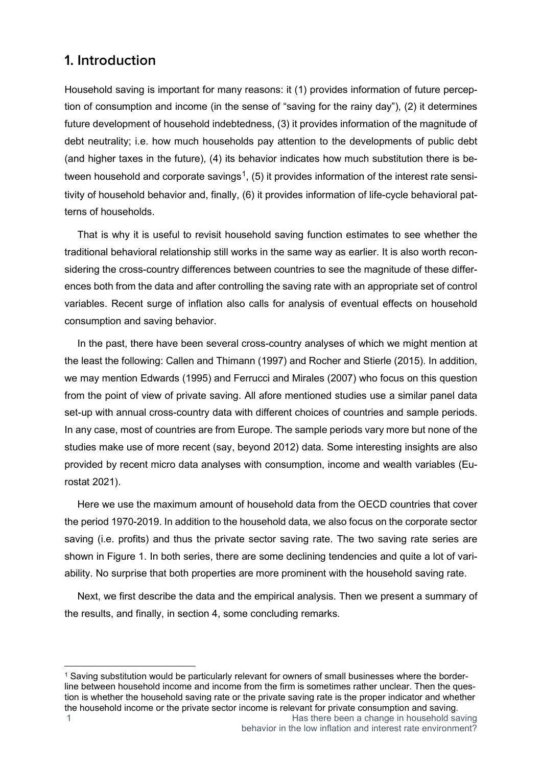## **1. Introduction**

Household saving is important for many reasons: it (1) provides information of future perception of consumption and income (in the sense of "saving for the rainy day"), (2) it determines future development of household indebtedness, (3) it provides information of the magnitude of debt neutrality; i.e. how much households pay attention to the developments of public debt (and higher taxes in the future), (4) its behavior indicates how much substitution there is be-tween household and corporate savings<sup>[1](#page-1-0)</sup>, (5) it provides information of the interest rate sensitivity of household behavior and, finally, (6) it provides information of life-cycle behavioral patterns of households.

That is why it is useful to revisit household saving function estimates to see whether the traditional behavioral relationship still works in the same way as earlier. It is also worth reconsidering the cross-country differences between countries to see the magnitude of these differences both from the data and after controlling the saving rate with an appropriate set of control variables. Recent surge of inflation also calls for analysis of eventual effects on household consumption and saving behavior.

In the past, there have been several cross-country analyses of which we might mention at the least the following: Callen and Thimann (1997) and Rocher and Stierle (2015). In addition, we may mention Edwards (1995) and Ferrucci and Mirales (2007) who focus on this question from the point of view of private saving. All afore mentioned studies use a similar panel data set-up with annual cross-country data with different choices of countries and sample periods. In any case, most of countries are from Europe. The sample periods vary more but none of the studies make use of more recent (say, beyond 2012) data. Some interesting insights are also provided by recent micro data analyses with consumption, income and wealth variables (Eurostat 2021).

Here we use the maximum amount of household data from the OECD countries that cover the period 1970-2019. In addition to the household data, we also focus on the corporate sector saving (i.e. profits) and thus the private sector saving rate. The two saving rate series are shown in Figure 1. In both series, there are some declining tendencies and quite a lot of variability. No surprise that both properties are more prominent with the household saving rate.

Next, we first describe the data and the empirical analysis. Then we present a summary of the results, and finally, in section 4, some concluding remarks.

<span id="page-1-0"></span><sup>1</sup> Has there been a change in household saving <sup>1</sup> Saving substitution would be particularly relevant for owners of small businesses where the borderline between household income and income from the firm is sometimes rather unclear. Then the question is whether the household saving rate or the private saving rate is the proper indicator and whether the household income or the private sector income is relevant for private consumption and saving.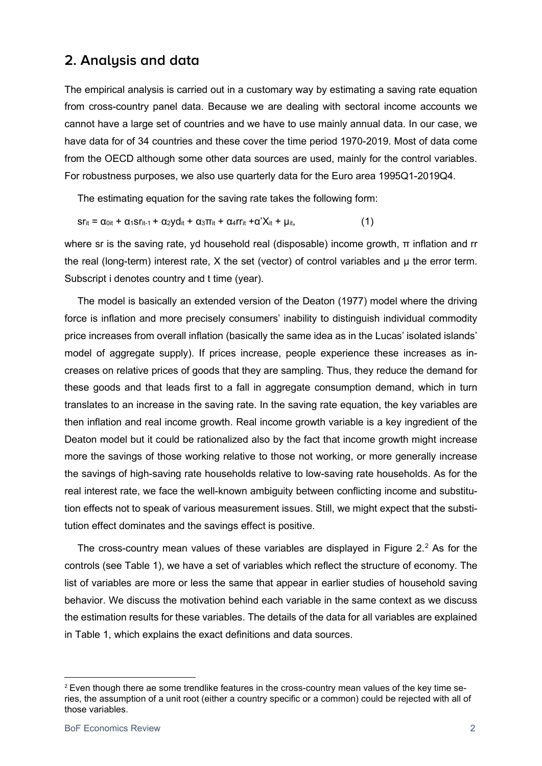### **2. Analysis and data**

The empirical analysis is carried out in a customary way by estimating a saving rate equation from cross-country panel data. Because we are dealing with sectoral income accounts we cannot have a large set of countries and we have to use mainly annual data. In our case, we have data for of 34 countries and these cover the time period 1970-2019. Most of data come from the OECD although some other data sources are used, mainly for the control variables. For robustness purposes, we also use quarterly data for the Euro area 1995Q1-2019Q4.

The estimating equation for the saving rate takes the following form:

$$
sr_{it} = \alpha_{0it} + \alpha_1 sr_{it-1} + \alpha_2 y d_{it} + \alpha_3 \pi_{it} + \alpha_4 rr_{it} + \alpha' X_{it} + \mu_{it},
$$
\n(1)

where sr is the saving rate, yd household real (disposable) income growth, π inflation and rr the real (long-term) interest rate, X the set (vector) of control variables and  $\mu$  the error term. Subscript i denotes country and t time (year).

The model is basically an extended version of the Deaton (1977) model where the driving force is inflation and more precisely consumers' inability to distinguish individual commodity price increases from overall inflation (basically the same idea as in the Lucas' isolated islands' model of aggregate supply). If prices increase, people experience these increases as increases on relative prices of goods that they are sampling. Thus, they reduce the demand for these goods and that leads first to a fall in aggregate consumption demand, which in turn translates to an increase in the saving rate. In the saving rate equation, the key variables are then inflation and real income growth. Real income growth variable is a key ingredient of the Deaton model but it could be rationalized also by the fact that income growth might increase more the savings of those working relative to those not working, or more generally increase the savings of high-saving rate households relative to low-saving rate households. As for the real interest rate, we face the well-known ambiguity between conflicting income and substitution effects not to speak of various measurement issues. Still, we might expect that the substitution effect dominates and the savings effect is positive.

The cross-country mean values of these variables are displayed in Figure  $2<sup>2</sup>$  $2<sup>2</sup>$  As for the controls (see Table 1), we have a set of variables which reflect the structure of economy. The list of variables are more or less the same that appear in earlier studies of household saving behavior. We discuss the motivation behind each variable in the same context as we discuss the estimation results for these variables. The details of the data for all variables are explained in Table 1, which explains the exact definitions and data sources.

<span id="page-2-0"></span> $2$  Even though there ae some trendlike features in the cross-country mean values of the key time series, the assumption of a unit root (either a country specific or a common) could be rejected with all of those variables.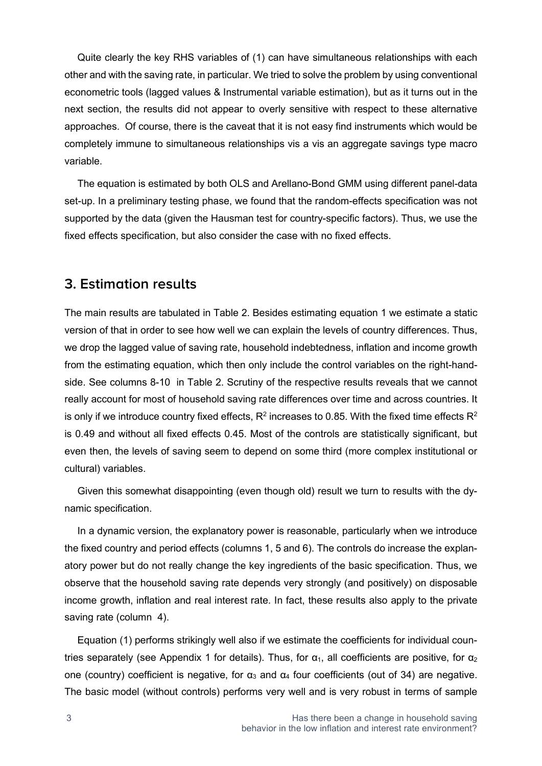Quite clearly the key RHS variables of (1) can have simultaneous relationships with each other and with the saving rate, in particular. We tried to solve the problem by using conventional econometric tools (lagged values & Instrumental variable estimation), but as it turns out in the next section, the results did not appear to overly sensitive with respect to these alternative approaches. Of course, there is the caveat that it is not easy find instruments which would be completely immune to simultaneous relationships vis a vis an aggregate savings type macro variable.

The equation is estimated by both OLS and Arellano-Bond GMM using different panel-data set-up. In a preliminary testing phase, we found that the random-effects specification was not supported by the data (given the Hausman test for country-specific factors). Thus, we use the fixed effects specification, but also consider the case with no fixed effects.

#### **3. Estimation results**

The main results are tabulated in Table 2. Besides estimating equation 1 we estimate a static version of that in order to see how well we can explain the levels of country differences. Thus, we drop the lagged value of saving rate, household indebtedness, inflation and income growth from the estimating equation, which then only include the control variables on the right-handside. See columns 8-10 in Table 2. Scrutiny of the respective results reveals that we cannot really account for most of household saving rate differences over time and across countries. It is only if we introduce country fixed effects,  $R^2$  increases to 0.85. With the fixed time effects  $R^2$ is 0.49 and without all fixed effects 0.45. Most of the controls are statistically significant, but even then, the levels of saving seem to depend on some third (more complex institutional or cultural) variables.

Given this somewhat disappointing (even though old) result we turn to results with the dynamic specification.

In a dynamic version, the explanatory power is reasonable, particularly when we introduce the fixed country and period effects (columns 1, 5 and 6). The controls do increase the explanatory power but do not really change the key ingredients of the basic specification. Thus, we observe that the household saving rate depends very strongly (and positively) on disposable income growth, inflation and real interest rate. In fact, these results also apply to the private saving rate (column 4).

Equation (1) performs strikingly well also if we estimate the coefficients for individual countries separately (see Appendix 1 for details). Thus, for  $\alpha_1$ , all coefficients are positive, for  $\alpha_2$ one (country) coefficient is negative, for  $\alpha_3$  and  $\alpha_4$  four coefficients (out of 34) are negative. The basic model (without controls) performs very well and is very robust in terms of sample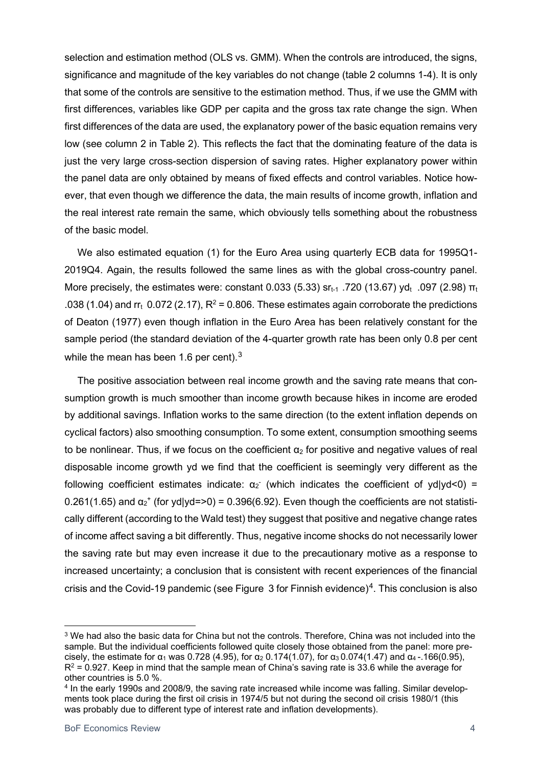selection and estimation method (OLS vs. GMM). When the controls are introduced, the signs, significance and magnitude of the key variables do not change (table 2 columns 1-4). It is only that some of the controls are sensitive to the estimation method. Thus, if we use the GMM with first differences, variables like GDP per capita and the gross tax rate change the sign. When first differences of the data are used, the explanatory power of the basic equation remains very low (see column 2 in Table 2). This reflects the fact that the dominating feature of the data is just the very large cross-section dispersion of saving rates. Higher explanatory power within the panel data are only obtained by means of fixed effects and control variables. Notice however, that even though we difference the data, the main results of income growth, inflation and the real interest rate remain the same, which obviously tells something about the robustness of the basic model.

We also estimated equation (1) for the Euro Area using quarterly ECB data for 1995Q1- 2019Q4. Again, the results followed the same lines as with the global cross-country panel. More precisely, the estimates were: constant 0.033 (5.33)  $sr_{t-1}$  .720 (13.67) yd<sub>t</sub> .097 (2.98)  $\pi_t$ .038 (1.04) and rr<sub>t</sub> 0.072 (2.17),  $R^2$  = 0.806. These estimates again corroborate the predictions of Deaton (1977) even though inflation in the Euro Area has been relatively constant for the sample period (the standard deviation of the 4-quarter growth rate has been only 0.8 per cent while the mean has been 1.6 per cent). $3$ 

The positive association between real income growth and the saving rate means that consumption growth is much smoother than income growth because hikes in income are eroded by additional savings. Inflation works to the same direction (to the extent inflation depends on cyclical factors) also smoothing consumption. To some extent, consumption smoothing seems to be nonlinear. Thus, if we focus on the coefficient  $\alpha_2$  for positive and negative values of real disposable income growth yd we find that the coefficient is seemingly very different as the following coefficient estimates indicate:  $\alpha_2$  (which indicates the coefficient of yd|yd<0) = 0.261(1.65) and  $\alpha_2^*$  (for yd|yd=>0) = 0.396(6.92). Even though the coefficients are not statistically different (according to the Wald test) they suggest that positive and negative change rates of income affect saving a bit differently. Thus, negative income shocks do not necessarily lower the saving rate but may even increase it due to the precautionary motive as a response to increased uncertainty; a conclusion that is consistent with recent experiences of the financial crisis and the Covid-19 pandemic (see Figure 3 for Finnish evidence)<sup>[4](#page-4-1)</sup>. This conclusion is also

<span id="page-4-0"></span><sup>3</sup> We had also the basic data for China but not the controls. Therefore, China was not included into the sample. But the individual coefficients followed quite closely those obtained from the panel: more precisely, the estimate for  $\alpha_1$  was 0.728 (4.95), for  $\alpha_2$  0.174(1.07), for  $\alpha_3$  0.074(1.47) and  $\alpha_4$ -166(0.95),  $R^2$  = 0.927. Keep in mind that the sample mean of China's saving rate is 33.6 while the average for other countries is 5.0 %.

<span id="page-4-1"></span><sup>4</sup> In the early 1990s and 2008/9, the saving rate increased while income was falling. Similar developments took place during the first oil crisis in 1974/5 but not during the second oil crisis 1980/1 (this was probably due to different type of interest rate and inflation developments).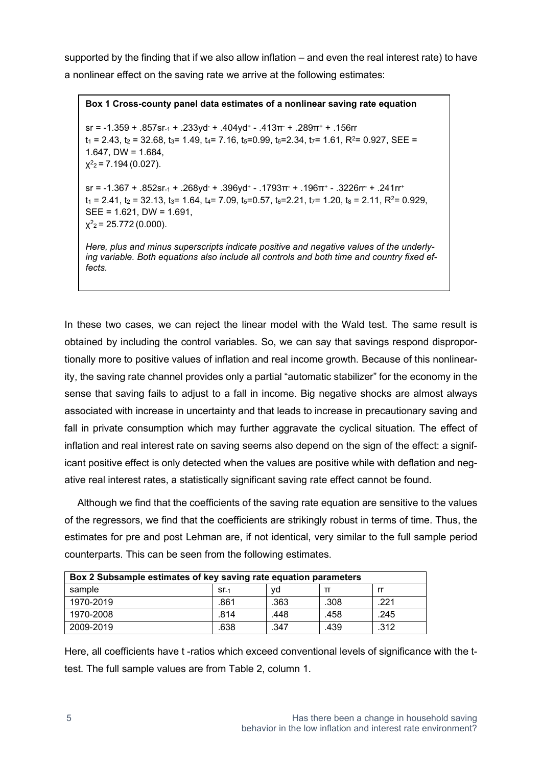supported by the finding that if we also allow inflation – and even the real interest rate) to have a nonlinear effect on the saving rate we arrive at the following estimates:

**Box 1 Cross-county panel data estimates of a nonlinear saving rate equation** sr = -1.359 + .857sr<sub>-1</sub> + .233yd<sup>-</sup> + .404yd<sup>+</sup> - .413 $\pi$ <sup>-</sup> + .289 $\pi$ <sup>+</sup> + .156rr  $t_1 = 2.43$ ,  $t_2 = 32.68$ ,  $t_3 = 1.49$ ,  $t_4 = 7.16$ ,  $t_5 = 0.99$ ,  $t_6 = 2.34$ ,  $t_7 = 1.61$ ,  $R^2 = 0.927$ , SEE = 1.647, DW =  $1.684$ ,  $x^2$ <sub>2</sub> = 7.194 (0.027). sr = -1.367 + .852sr<sub>-1</sub> + .268vd<sup>-</sup> + .396vd<sup>+</sup> - .1793 $\pi$ <sup>-</sup> + .196 $\pi$ <sup>+</sup> - .3226rr + .241r<sup>+</sup>  $t_1 = 2.41$ ,  $t_2 = 32.13$ ,  $t_3 = 1.64$ ,  $t_4 = 7.09$ ,  $t_5 = 0.57$ ,  $t_6 = 2.21$ ,  $t_7 = 1.20$ ,  $t_8 = 2.11$ ,  $R^2 = 0.929$ , SEE = 1.621, DW = 1.691,  $x^2 = 25.772(0.000)$ . *Here, plus and minus superscripts indicate positive and negative values of the underly-*

*ing variable. Both equations also include all controls and both time and country fixed effects.* 

In these two cases, we can reject the linear model with the Wald test. The same result is obtained by including the control variables. So, we can say that savings respond disproportionally more to positive values of inflation and real income growth. Because of this nonlinearity, the saving rate channel provides only a partial "automatic stabilizer" for the economy in the sense that saving fails to adjust to a fall in income. Big negative shocks are almost always associated with increase in uncertainty and that leads to increase in precautionary saving and fall in private consumption which may further aggravate the cyclical situation. The effect of inflation and real interest rate on saving seems also depend on the sign of the effect: a significant positive effect is only detected when the values are positive while with deflation and negative real interest rates, a statistically significant saving rate effect cannot be found.

Although we find that the coefficients of the saving rate equation are sensitive to the values of the regressors, we find that the coefficients are strikingly robust in terms of time. Thus, the estimates for pre and post Lehman are, if not identical, very similar to the full sample period counterparts. This can be seen from the following estimates.

| Box 2 Subsample estimates of key saving rate equation parameters |        |      |      |      |  |
|------------------------------------------------------------------|--------|------|------|------|--|
| sample                                                           | $ST-1$ | vd   |      |      |  |
| 1970-2019                                                        | .861   | .363 | .308 | 221  |  |
| 1970-2008                                                        | .814   | .448 | .458 | .245 |  |
| 2009-2019                                                        | .638   | 347  | .439 | .312 |  |

Here, all coefficients have t -ratios which exceed conventional levels of significance with the ttest. The full sample values are from Table 2, column 1.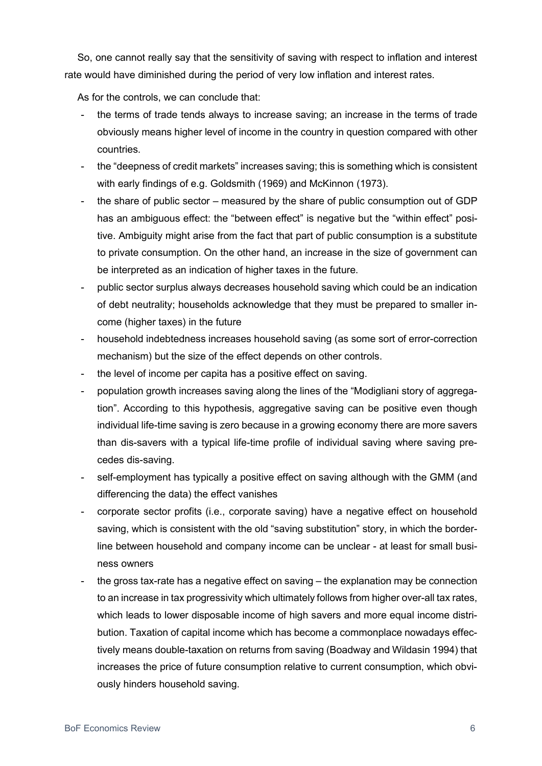So, one cannot really say that the sensitivity of saving with respect to inflation and interest rate would have diminished during the period of very low inflation and interest rates.

As for the controls, we can conclude that:

- the terms of trade tends always to increase saving; an increase in the terms of trade obviously means higher level of income in the country in question compared with other countries.
- the "deepness of credit markets" increases saving; this is something which is consistent with early findings of e.g. Goldsmith (1969) and McKinnon (1973).
- the share of public sector measured by the share of public consumption out of GDP has an ambiguous effect: the "between effect" is negative but the "within effect" positive. Ambiguity might arise from the fact that part of public consumption is a substitute to private consumption. On the other hand, an increase in the size of government can be interpreted as an indication of higher taxes in the future.
- public sector surplus always decreases household saving which could be an indication of debt neutrality; households acknowledge that they must be prepared to smaller income (higher taxes) in the future
- household indebtedness increases household saving (as some sort of error-correction mechanism) but the size of the effect depends on other controls.
- the level of income per capita has a positive effect on saving.
- population growth increases saving along the lines of the "Modigliani story of aggregation". According to this hypothesis, aggregative saving can be positive even though individual life-time saving is zero because in a growing economy there are more savers than dis-savers with a typical life-time profile of individual saving where saving precedes dis-saving.
- self-employment has typically a positive effect on saving although with the GMM (and differencing the data) the effect vanishes
- corporate sector profits (i.e., corporate saving) have a negative effect on household saving, which is consistent with the old "saving substitution" story, in which the borderline between household and company income can be unclear - at least for small business owners
- the gross tax-rate has a negative effect on saving the explanation may be connection to an increase in tax progressivity which ultimately follows from higher over-all tax rates, which leads to lower disposable income of high savers and more equal income distribution. Taxation of capital income which has become a commonplace nowadays effectively means double-taxation on returns from saving (Boadway and Wildasin 1994) that increases the price of future consumption relative to current consumption, which obviously hinders household saving.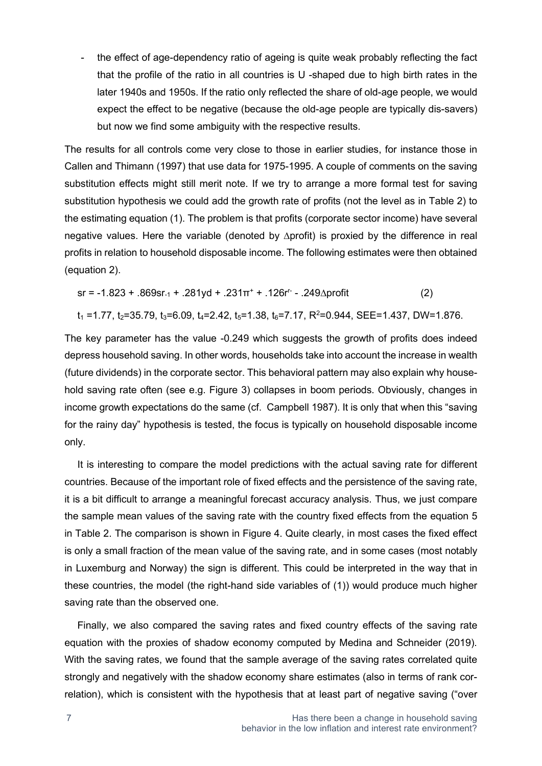- the effect of age-dependency ratio of ageing is quite weak probably reflecting the fact that the profile of the ratio in all countries is U -shaped due to high birth rates in the later 1940s and 1950s. If the ratio only reflected the share of old-age people, we would expect the effect to be negative (because the old-age people are typically dis-savers) but now we find some ambiguity with the respective results.

The results for all controls come very close to those in earlier studies, for instance those in Callen and Thimann (1997) that use data for 1975-1995. A couple of comments on the saving substitution effects might still merit note. If we try to arrange a more formal test for saving substitution hypothesis we could add the growth rate of profits (not the level as in Table 2) to the estimating equation (1). The problem is that profits (corporate sector income) have several negative values. Here the variable (denoted by ∆profit) is proxied by the difference in real profits in relation to household disposable income. The following estimates were then obtained (equation 2).

$$
sr = -1.823 + .869sr_{-1} + .281yd + .231\pi^{+} + .126r^{-} - .249\Delta profit
$$
 (2)

$$
t_1 = 1.77
$$
,  $t_2 = 35.79$ ,  $t_3 = 6.09$ ,  $t_4 = 2.42$ ,  $t_5 = 1.38$ ,  $t_6 = 7.17$ ,  $R^2 = 0.944$ ,  $SEE = 1.437$ ,  $DW = 1.876$ .

The key parameter has the value -0.249 which suggests the growth of profits does indeed depress household saving. In other words, households take into account the increase in wealth (future dividends) in the corporate sector. This behavioral pattern may also explain why household saving rate often (see e.g. Figure 3) collapses in boom periods. Obviously, changes in income growth expectations do the same (cf. Campbell 1987). It is only that when this "saving for the rainy day" hypothesis is tested, the focus is typically on household disposable income only.

It is interesting to compare the model predictions with the actual saving rate for different countries. Because of the important role of fixed effects and the persistence of the saving rate, it is a bit difficult to arrange a meaningful forecast accuracy analysis. Thus, we just compare the sample mean values of the saving rate with the country fixed effects from the equation 5 in Table 2. The comparison is shown in Figure 4. Quite clearly, in most cases the fixed effect is only a small fraction of the mean value of the saving rate, and in some cases (most notably in Luxemburg and Norway) the sign is different. This could be interpreted in the way that in these countries, the model (the right-hand side variables of (1)) would produce much higher saving rate than the observed one.

Finally, we also compared the saving rates and fixed country effects of the saving rate equation with the proxies of shadow economy computed by Medina and Schneider (2019). With the saving rates, we found that the sample average of the saving rates correlated quite strongly and negatively with the shadow economy share estimates (also in terms of rank correlation), which is consistent with the hypothesis that at least part of negative saving ("over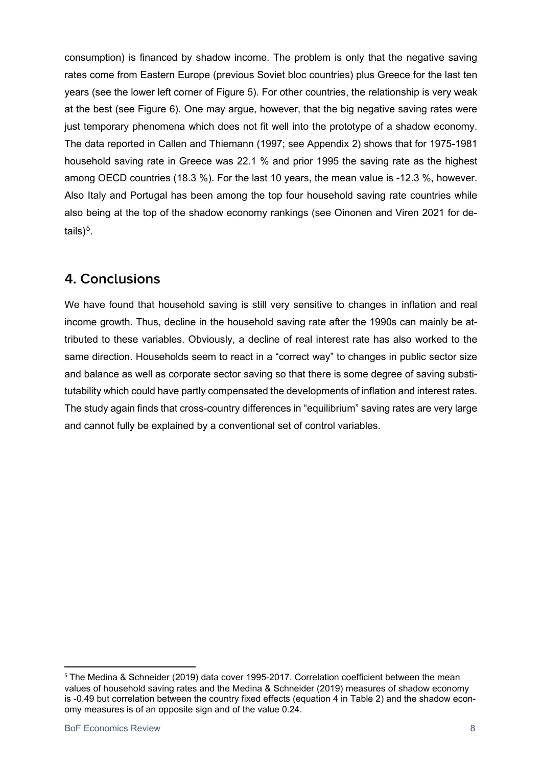consumption) is financed by shadow income. The problem is only that the negative saving rates come from Eastern Europe (previous Soviet bloc countries) plus Greece for the last ten years (see the lower left corner of Figure 5). For other countries, the relationship is very weak at the best (see Figure 6). One may argue, however, that the big negative saving rates were just temporary phenomena which does not fit well into the prototype of a shadow economy. The data reported in Callen and Thiemann (1997; see Appendix 2) shows that for 1975-1981 household saving rate in Greece was 22.1 % and prior 1995 the saving rate as the highest among OECD countries (18.3 %). For the last 10 years, the mean value is -12.3 %, however. Also Italy and Portugal has been among the top four household saving rate countries while also being at the top of the shadow economy rankings (see Oinonen and Viren 2021 for details $)^5$  $)^5$ .

## **4. Conclusions**

We have found that household saving is still very sensitive to changes in inflation and real income growth. Thus, decline in the household saving rate after the 1990s can mainly be attributed to these variables. Obviously, a decline of real interest rate has also worked to the same direction. Households seem to react in a "correct way" to changes in public sector size and balance as well as corporate sector saving so that there is some degree of saving substitutability which could have partly compensated the developments of inflation and interest rates. The study again finds that cross-country differences in "equilibrium" saving rates are very large and cannot fully be explained by a conventional set of control variables.

<span id="page-8-0"></span><sup>&</sup>lt;sup>5</sup> The Medina & Schneider (2019) data cover 1995-2017. Correlation coefficient between the mean values of household saving rates and the Medina & Schneider (2019) measures of shadow economy is -0.49 but correlation between the country fixed effects (equation 4 in Table 2) and the shadow economy measures is of an opposite sign and of the value 0.24.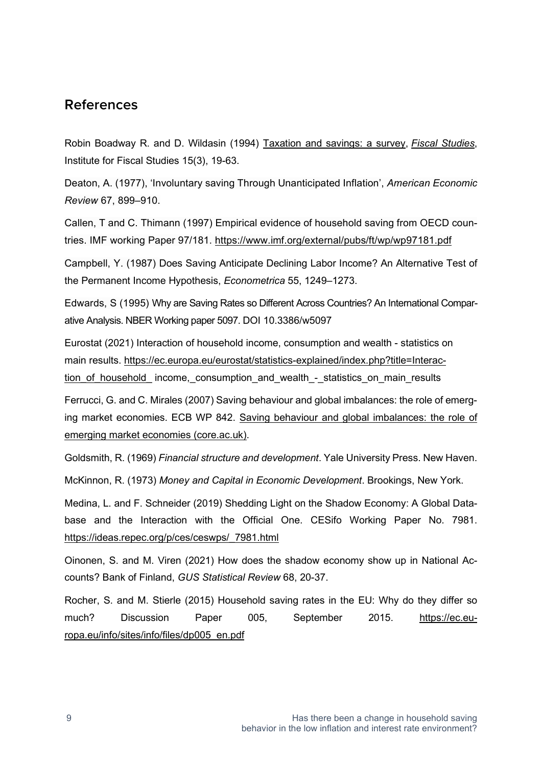#### **References**

Robin Boadway R. and D. Wildasin (1994) [Taxation and savings: a survey,](https://ideas.repec.org/a/ifs/fistud/v15y1994i3p19-63.html) *[Fiscal Studies](https://ideas.repec.org/s/ifs/fistud.html)*, Institute for Fiscal Studies 15(3), 19-63.

Deaton, A. (1977), 'Involuntary saving Through Unanticipated Inflation', *American Economic Review* 67, 899–910.

Callen, T and C. Thimann (1997) Empirical evidence of household saving from OECD countries. IMF working Paper 97/181.<https://www.imf.org/external/pubs/ft/wp/wp97181.pdf>

Campbell, Y. (1987) Does Saving Anticipate Declining Labor Income? An Alternative Test of the Permanent Income Hypothesis, *Econometrica* 55, 1249–1273.

Edwards, S (1995) Why are Saving Rates so Different Across Countries? An International Comparative Analysis. NBER Working paper 5097. DOI 10.3386/w5097

Eurostat (2021) Interaction of household income, consumption and wealth - statistics on main results. [https://ec.europa.eu/eurostat/statistics-explained/index.php?title=Interac](https://ec.europa.eu/eurostat/statistics-explained/index.php?title=Interaction_of_household_)tion of household income, consumption and wealth - statistics on main results

Ferrucci, G. and C. Mirales (2007) Saving behaviour and global imbalances: the role of emerging market economies. ECB WP 842. [Saving behaviour and global imbalances: the role of](https://core.ac.uk/download/pdf/6956225.pdf)  [emerging market economies \(core.ac.uk\).](https://core.ac.uk/download/pdf/6956225.pdf)

Goldsmith, R. (1969) *Financial structure and development*. Yale University Press. New Haven.

McKinnon, R. (1973) *Money and Capital in Economic Development*. Brookings, New York.

Medina, L. and F. Schneider (2019) Shedding Light on the Shadow Economy: A Global Database and the Interaction with the Official One. CESifo Working Paper No. 7981. [https://ideas.repec.org/p/ces/ceswps/\\_7981.html](https://ideas.repec.org/p/ces/ceswps/_7981.html)

Oinonen, S. and M. Viren (2021) How does the shadow economy show up in National Accounts? Bank of Finland, *GUS Statistical Review* 68, 20-37.

Rocher, S. and M. Stierle (2015) Household saving rates in the EU: Why do they differ so much? Discussion Paper 005, September 2015. [https://ec.eu](https://ec.europa.eu/info/sites/info/files/dp005_en.pdf)[ropa.eu/info/sites/info/files/dp005\\_en.pdf](https://ec.europa.eu/info/sites/info/files/dp005_en.pdf)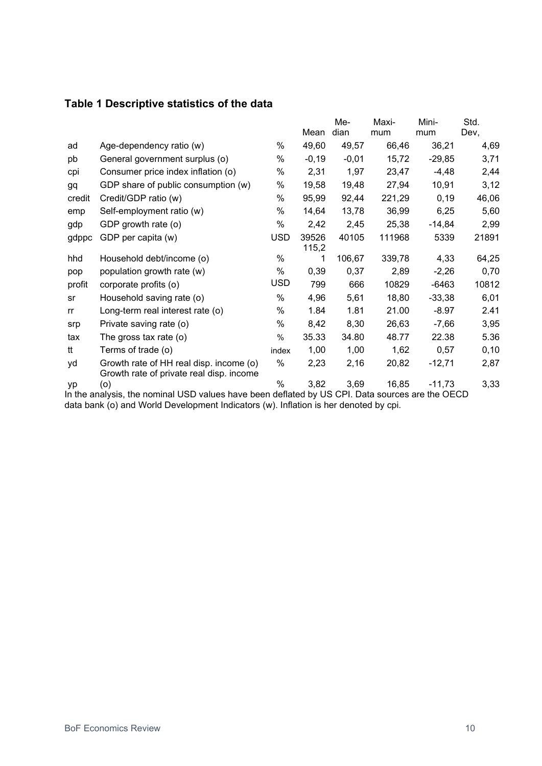#### **Table 1 Descriptive statistics of the data**

|           |                                                                                                 |               |                | Me-     | Maxi-  | Mini-    | Std.  |
|-----------|-------------------------------------------------------------------------------------------------|---------------|----------------|---------|--------|----------|-------|
|           |                                                                                                 |               | Mean           | dian    | mum    | mum      | Dev,  |
| ad        | Age-dependency ratio (w)                                                                        | %             | 49,60          | 49,57   | 66,46  | 36,21    | 4,69  |
| pb        | General government surplus (o)                                                                  | %             | $-0,19$        | $-0,01$ | 15,72  | $-29,85$ | 3,71  |
| cpi       | Consumer price index inflation (o)                                                              | %             | 2,31           | 1,97    | 23,47  | $-4,48$  | 2,44  |
| <b>gq</b> | GDP share of public consumption (w)                                                             | %             | 19,58          | 19,48   | 27,94  | 10,91    | 3,12  |
| credit    | Credit/GDP ratio (w)                                                                            | %             | 95,99          | 92,44   | 221,29 | 0,19     | 46,06 |
| emp       | Self-employment ratio (w)                                                                       | %             | 14,64          | 13,78   | 36,99  | 6,25     | 5,60  |
| gdp       | GDP growth rate (o)                                                                             | %             | 2,42           | 2,45    | 25,38  | $-14,84$ | 2,99  |
| gdppc     | GDP per capita (w)                                                                              | <b>USD</b>    | 39526<br>115,2 | 40105   | 111968 | 5339     | 21891 |
| hhd       | Household debt/income (o)                                                                       | %             | 1              | 106,67  | 339,78 | 4,33     | 64,25 |
| pop       | population growth rate (w)                                                                      | %             | 0,39           | 0,37    | 2,89   | $-2,26$  | 0,70  |
| profit    | corporate profits (o)                                                                           | <b>USD</b>    | 799            | 666     | 10829  | $-6463$  | 10812 |
| sr        | Household saving rate (o)                                                                       | %             | 4,96           | 5,61    | 18,80  | $-33,38$ | 6,01  |
| rr        | Long-term real interest rate (o)                                                                | %             | 1.84           | 1.81    | 21.00  | $-8.97$  | 2.41  |
| srp       | Private saving rate (o)                                                                         | %             | 8,42           | 8,30    | 26,63  | $-7,66$  | 3,95  |
| tax       | The gross tax rate $(o)$                                                                        | %             | 35.33          | 34.80   | 48.77  | 22.38    | 5.36  |
| tt        | Terms of trade (o)                                                                              | index         | 1,00           | 1,00    | 1,62   | 0,57     | 0, 10 |
| yd        | Growth rate of HH real disp. income (o)<br>Growth rate of private real disp. income             | %             | 2,23           | 2,16    | 20,82  | $-12,71$ | 2,87  |
| yp        | (o)                                                                                             | $\frac{0}{0}$ | 3,82           | 3,69    | 16,85  | $-11,73$ | 3,33  |
|           | In the analysis, the nominal USD values have been deflated by US CPI. Data sources are the OECD |               |                |         |        |          |       |

data bank (o) and World Development Indicators (w). Inflation is her denoted by cpi.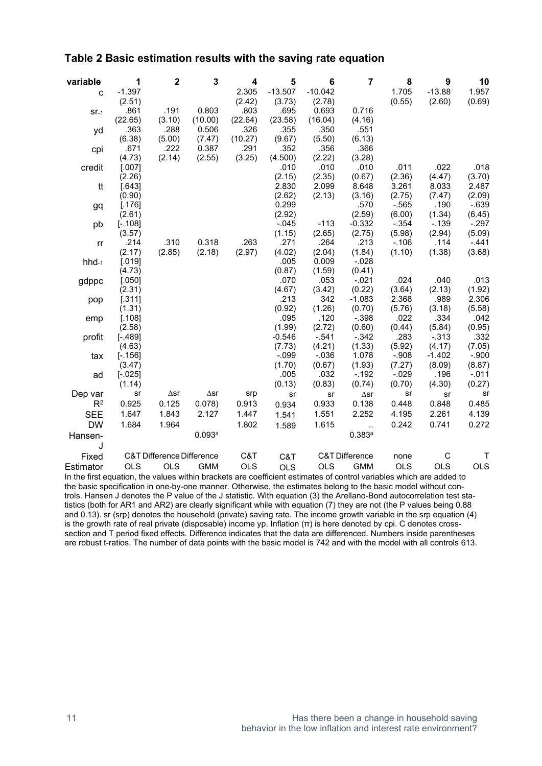#### **Table 2 Basic estimation results with the saving rate equation**

| variable   | 1                   | $\mathbf 2$                          | 3               | 4              | 5               | 6              | $\overline{7}$            | 8          | 9          | 10         |
|------------|---------------------|--------------------------------------|-----------------|----------------|-----------------|----------------|---------------------------|------------|------------|------------|
| C          | $-1.397$            |                                      |                 | 2.305          | $-13.507$       | $-10.042$      |                           | 1.705      | $-13.88$   | 1.957      |
|            | (2.51)              |                                      |                 | (2.42)         | (3.73)          | (2.78)         |                           | (0.55)     | (2.60)     | (0.69)     |
| $ST-1$     | .861                | .191                                 | 0.803           | .803           | .695            | 0.693          | 0.716                     |            |            |            |
|            | (22.65)             | (3.10)                               | (10.00)         | (22.64)        | (23.58)         | (16.04)        | (4.16)                    |            |            |            |
| yd         | .363                | .288                                 | 0.506           | .326           | .355            | .350           | .551                      |            |            |            |
|            | (6.38)<br>.671      | (5.00)<br>.222                       | (7.47)<br>0.387 | (10.27)        | (9.67)          | (5.50)<br>.356 | (6.13)<br>.366            |            |            |            |
| cpi        | (4.73)              | (2.14)                               | (2.55)          | .291<br>(3.25) | .352<br>(4.500) | (2.22)         | (3.28)                    |            |            |            |
|            |                     |                                      |                 |                | .010            | .010           | .010                      | .011       | .022       | .018       |
| credit     | [.007]<br>(2.26)    |                                      |                 |                | (2.15)          | (2.35)         | (0.67)                    | (2.36)     | (4.47)     | (3.70)     |
|            |                     |                                      |                 |                | 2.830           | 2.099          | 8.648                     | 3.261      | 8.033      | 2.487      |
| tt         | [.643]              |                                      |                 |                | (2.62)          | (2.13)         | (3.16)                    | (2.75)     | (7.47)     | (2.09)     |
|            | (0.90)<br>[.176]    |                                      |                 |                | 0.299           |                | .570                      | $-565$     | .190       | $-639$     |
| gq         | (2.61)              |                                      |                 |                | (2.92)          |                | (2.59)                    | (6.00)     | (1.34)     | (6.45)     |
|            |                     |                                      |                 |                | $-0.045$        | $-113$         | $-0.332$                  | $-.354$    | $-139$     | $-.297$    |
| pb         | $[-.108]$<br>(3.57) |                                      |                 |                | (1.15)          | (2.65)         | (2.75)                    | (5.98)     | (2.94)     | (5.09)     |
|            | .214                | .310                                 | 0.318           | .263           | .271            | .264           | .213                      | $-.106$    | .114       | $-.441$    |
| rr         | (2.17)              | (2.85)                               | (2.18)          | (2.97)         | (4.02)          | (2.04)         | (1.84)                    | (1.10)     | (1.38)     | (3.68)     |
|            |                     |                                      |                 |                | .005            | 0.009          | $-0.028$                  |            |            |            |
| $hhd_{-1}$ | $[.019]$<br>(4.73)  |                                      |                 |                | (0.87)          | (1.59)         | (0.41)                    |            |            |            |
|            | [.050]              |                                      |                 |                | .070            | .053           | $-021$                    | .024       | .040       | .013       |
| gdppc      | (2.31)              |                                      |                 |                | (4.67)          | (3.42)         | (0.22)                    | (3.64)     | (2.13)     | (1.92)     |
|            | [.311]              |                                      |                 |                | .213            | 342            | $-1.083$                  | 2.368      | .989       | 2.306      |
| pop        | (1.31)              |                                      |                 |                | (0.92)          | (1.26)         | (0.70)                    | (5.76)     | (3.18)     | (5.58)     |
|            | [.108]              |                                      |                 |                | .095            | .120           | $-0.398$                  | .022       | .334       | .042       |
| emp        | (2.58)              |                                      |                 |                | (1.99)          | (2.72)         | (0.60)                    | (0.44)     | (5.84)     | (0.95)     |
| profit     | $[-.489]$           |                                      |                 |                | $-0.546$        | $-541$         | $-.342$                   | .283       | $-0.313$   | .332       |
|            | (4.63)              |                                      |                 |                | (7.73)          | (4.21)         | (1.33)                    | (5.92)     | (4.17)     | (7.05)     |
| tax        | $[-.156]$           |                                      |                 |                | $-0.099$        | $-0.036$       | 1.078                     | $-.908$    | $-1.402$   | $-.900$    |
|            | (3.47)              |                                      |                 |                | (1.70)          | (0.67)         | (1.93)                    | (7.27)     | (8.09)     | (8.87)     |
| ad         | $[-.025]$           |                                      |                 |                | .005            | .032           | $-192$                    | $-029$     | .196       | $-.011$    |
|            | (1.14)              |                                      |                 |                | (0.13)          | (0.83)         | (0.74)                    | (0.70)     | (4.30)     | (0.27)     |
| Dep var    | sr                  | $\Delta$ sr                          | $\Delta$ sr     | srp            | sr              | sr             | $\Delta$ sr               | sr         | sr         | sr         |
| $R^2$      | 0.925               | 0.125                                | 0.078)          | 0.913          | 0.934           | 0.933          | 0.138                     | 0.448      | 0.848      | 0.485      |
| <b>SEE</b> |                     | 1.843                                | 2.127           | 1.447          |                 |                | 2.252                     | 4.195      |            |            |
|            | 1.647               |                                      |                 |                | 1.541           | 1.551          |                           |            | 2.261      | 4.139      |
| <b>DW</b>  | 1.684               | 1.964                                |                 | 1.802          | 1.589           | 1.615          | $\sim$                    | 0.242      | 0.741      | 0.272      |
| Hansen-    |                     |                                      | 0.093a          |                |                 |                | 0.383a                    |            |            |            |
| J          |                     |                                      |                 |                |                 |                |                           |            |            |            |
| Fixed      |                     | <b>C&amp;T Difference Difference</b> |                 | C&T            | C&T             |                | <b>C&amp;T Difference</b> | none       | С          | Т          |
| Estimator  | <b>OLS</b>          | <b>OLS</b>                           | <b>GMM</b>      | OLS            | <b>OLS</b>      | <b>OLS</b>     | <b>GMM</b>                | <b>OLS</b> | <b>OLS</b> | <b>OLS</b> |
|            |                     |                                      |                 |                |                 |                |                           |            |            |            |

In the first equation, the values within brackets are coefficient estimates of control variables which are added to the basic specification in one-by-one manner. Otherwise, the estimates belong to the basic model without controls. Hansen J denotes the P value of the J statistic. With equation (3) the Arellano-Bond autocorrelation test statistics (both for AR1 and AR2) are clearly significant while with equation (7) they are not (the P values being 0.88 and 0.13). sr (srp) denotes the household (private) saving rate. The income growth variable in the srp equation (4) is the growth rate of real private (disposable) income yp. Inflation (π) is here denoted by cpi. C denotes crosssection and T period fixed effects. Difference indicates that the data are differenced. Numbers inside parentheses are robust t-ratios. The number of data points with the basic model is 742 and with the model with all controls 613.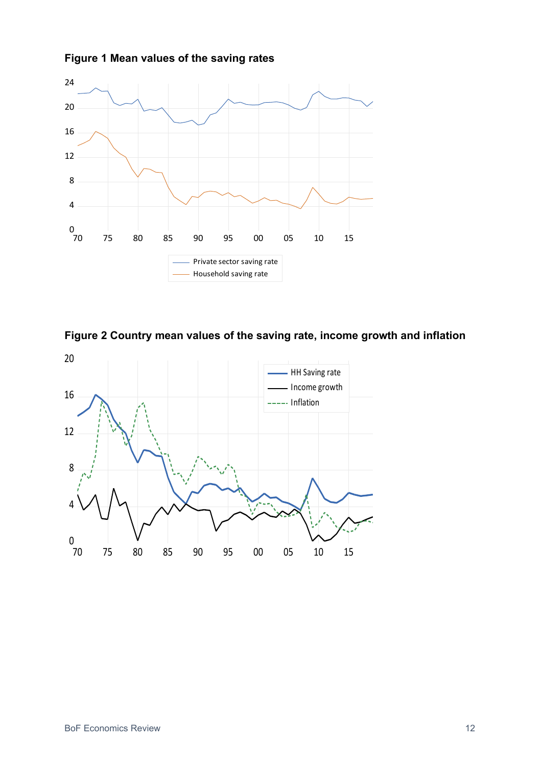





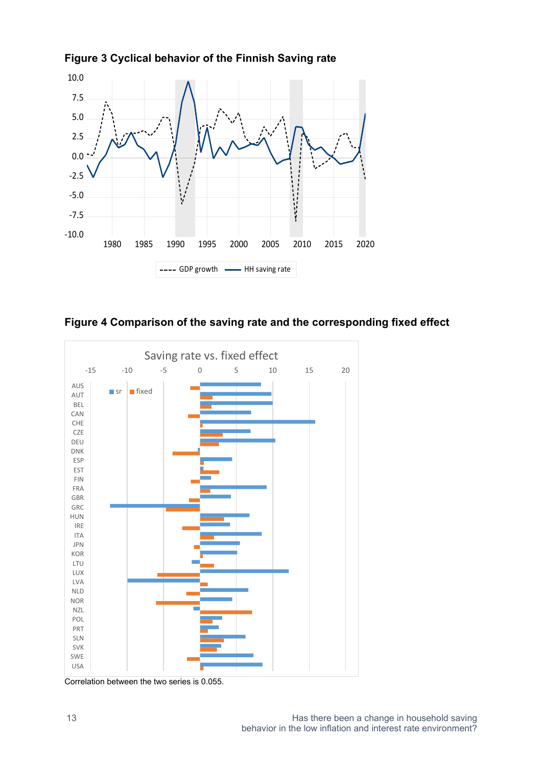

**Figure 3 Cyclical behavior of the Finnish Saving rate** 





Correlation between the two series is 0.055.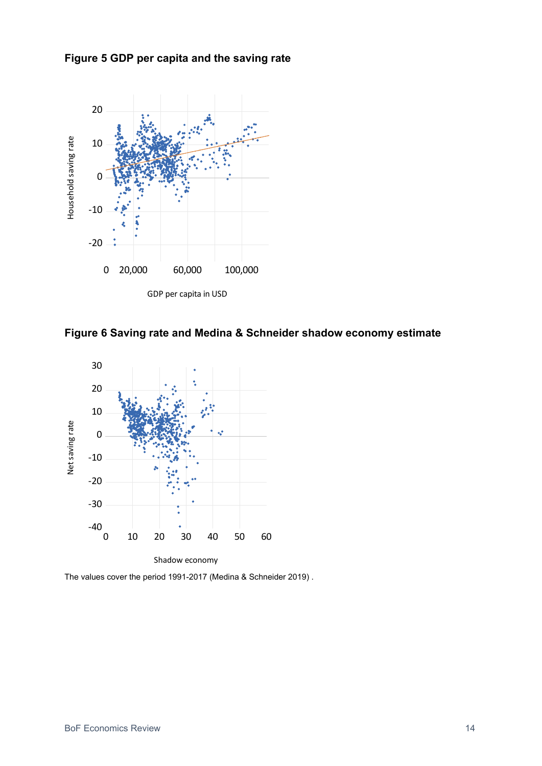**Figure 5 GDP per capita and the saving rate** 



**Figure 6 Saving rate and Medina & Schneider shadow economy estimate** 



The values cover the period 1991-2017 (Medina & Schneider 2019) .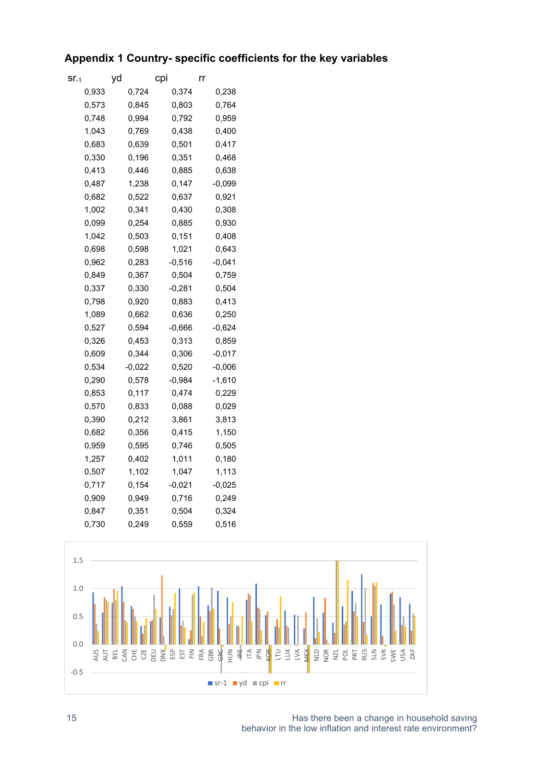#### **Appendix 1 Country- specific coefficients for the key variables**

| Sľ-1  | yd       | cpi   |          | rr       |
|-------|----------|-------|----------|----------|
| 0,933 |          | 0,724 | 0,374    | 0,238    |
| 0,573 |          | 0,845 | 0,803    | 0,764    |
| 0,748 |          | 0,994 | 0,792    | 0,959    |
| 1,043 |          | 0,769 | 0,438    | 0,400    |
| 0,683 |          | 0,639 | 0,501    | 0,417    |
| 0,330 |          | 0,196 | 0,351    | 0,468    |
| 0,413 |          | 0,446 | 0,885    | 0,638    |
| 0,487 |          | 1,238 | 0,147    | $-0,099$ |
| 0,682 |          | 0,522 | 0,637    | 0,921    |
| 1,002 |          | 0,341 | 0,430    | 0,308    |
| 0,099 |          | 0,254 | 0,885    | 0,930    |
| 1,042 |          | 0,503 | 0,151    | 0,408    |
| 0,698 |          | 0,598 | 1,021    | 0.643    |
| 0.962 |          | 0.283 | -0,516   | -0.041   |
| 0,849 |          | 0,367 | 0,504    | 0,759    |
| 0,337 |          | 0,330 | $-0,281$ | 0,504    |
| 0,798 |          | 0,920 | 0,883    | 0,413    |
| 1,089 |          | 0,662 | 0,636    | 0,250    |
| 0,527 |          | 0,594 | $-0,666$ | $-0,624$ |
| 0,326 |          | 0,453 | 0,313    | 0,859    |
| 0,609 |          | 0,344 | 0,306    | -0,017   |
| 0,534 | $-0,022$ |       | 0,520    | $-0,006$ |
| 0,290 |          | 0,578 | $-0,984$ | -1,610   |
| 0,853 |          | 0,117 | 0,474    | 0,229    |
| 0,570 |          | 0,833 | 0,088    | 0,029    |
| 0,390 |          | 0,212 | 3,861    | 3,813    |
| 0,682 |          | 0,356 | 0,415    | 1,150    |
| 0,959 |          | 0,595 | 0,746    | 0,505    |
| 1,257 |          | 0,402 | 1,011    | 0,180    |
| 0,507 |          | 1,102 | 1,047    | 1,113    |
| 0,717 |          | 0,154 | $-0,021$ | $-0,025$ |
| 0,909 |          | 0,949 | 0,716    | 0,249    |
| 0,847 |          | 0,351 | 0,504    | 0,324    |
| 0,730 |          | 0,249 | 0,559    | 0,516    |



15 **15 Has there been a change in household saving** behavior in the low inflation and interest rate environment?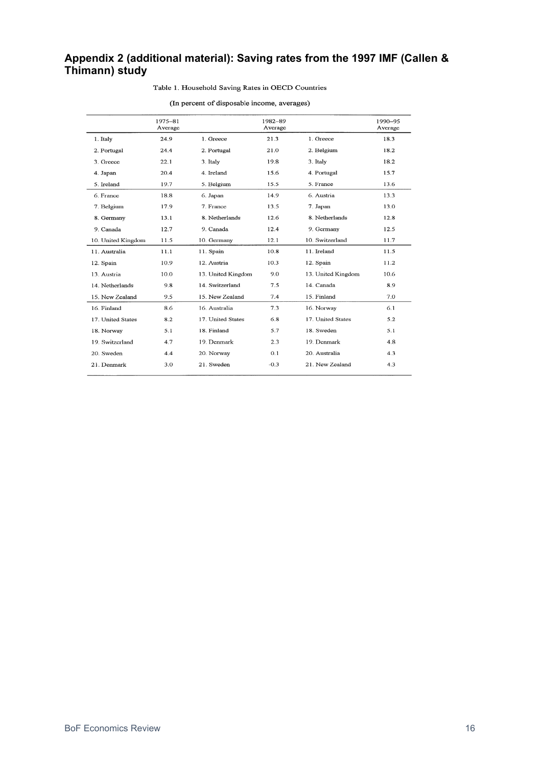#### **Appendix 2 (additional material): Saving rates from the 1997 IMF (Callen & Thimann) study**

#### Table 1. Household Saving Rates in OECD Countries

#### (In percent of disposable income, averages)

|                    | 1975-81<br>Average |                    | 1982-89<br>Average |                    | 1990-95<br>Average |
|--------------------|--------------------|--------------------|--------------------|--------------------|--------------------|
| 1. Italy           | 24.9               | 1. Greece          | 21.3               | 1. Greece          | 18.3               |
| 2. Portugal        | 24.4               | 2. Portugal        | 21.0               | 2. Belgium         | 18.2               |
| 3. Greece          | 22.1               | 3. Italy           | 19.8               | 3. Italy           | 18.2               |
| 4. Japan           | 20.4               | 4. Ireland         | 15.6               | 4. Portugal        | 15.7               |
| 5. Ireland         | 19.7               | 5. Belgium         | 15.5               | 5. France          | 13.6               |
| 6. France          | 18.8               | 6. Japan           | 14.9               | 6. Austria         | 13.3               |
| 7. Belgium         | 17.9               | 7. France          | 13.5               | 7. Japan           | 13.0               |
| 8. Germany         | 13.1               | 8. Netherlands     | 12.6               | 8. Netherlands     | 12.8               |
| 9. Canada          | 12.7               | 9. Canada          | 12.4               | 9. Germany         | 12.5               |
| 10. United Kingdom | 11.5               | 10. Germany        | 12.1               | 10. Switzerland    | 11.7               |
| 11. Australia      | 11.1               | 11. Spain          | 10.8               | 11. Ireland        | 11.5               |
| 12. Spain          | 10.9               | 12. Austria        | 10.3               | 12. Spain          | 11.2               |
| 13. Austria        | 10.0               | 13. United Kingdom | 9.0                | 13. United Kingdom | 10.6               |
| 14. Netherlands    | 9.8                | 14. Switzerland    | 7.5                | 14. Canada         | 8.9                |
| 15. New Zealand    | 9.5                | 15. New Zealand    | 7.4                | 15. Finland        | 7.0                |
| 16. Finland        | 8.6                | 16. Australia      | 7.3                | 16. Norway         | 6.1                |
| 17. United States  | 8.2                | 17. United States  | 6.8                | 17. United States  | 5.2                |
| 18. Norway         | 5.1                | 18. Finland        | 5.7                | 18. Sweden         | 5.1                |
| 19. Switzerland    | 4.7                | 19. Denmark        | 2.3                | 19. Denmark        | 4.8                |
| 20. Sweden         | 4.4                | 20. Norway         | 0.1                | 20. Australia      | 4.3                |
| 21. Denmark        | 3.0                | 21. Sweden         | $-0.3$             | 21. New Zealand    | 4.3                |
|                    |                    |                    |                    |                    |                    |